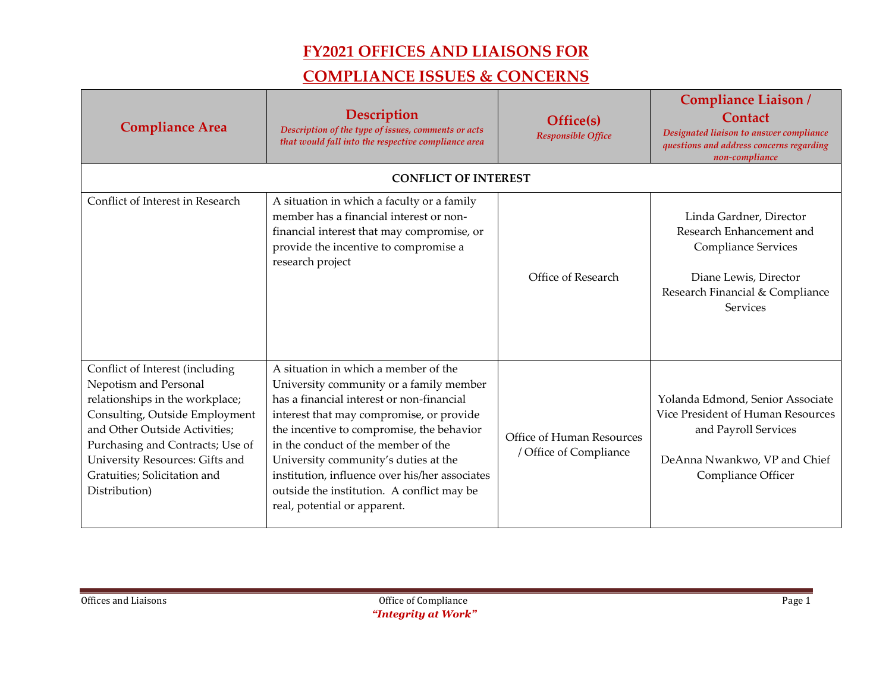| <b>Compliance Area</b>                                                                                                                                                                                                                                                                 | Description<br>Description of the type of issues, comments or acts<br>that would fall into the respective compliance area                                                                                                                                                                                                                                                                                                            | Office(s)<br><b>Responsible Office</b>              | <b>Compliance Liaison/</b><br>Contact<br>Designated liaison to answer compliance<br>questions and address concerns regarding<br>non-compliance            |
|----------------------------------------------------------------------------------------------------------------------------------------------------------------------------------------------------------------------------------------------------------------------------------------|--------------------------------------------------------------------------------------------------------------------------------------------------------------------------------------------------------------------------------------------------------------------------------------------------------------------------------------------------------------------------------------------------------------------------------------|-----------------------------------------------------|-----------------------------------------------------------------------------------------------------------------------------------------------------------|
|                                                                                                                                                                                                                                                                                        | <b>CONFLICT OF INTEREST</b>                                                                                                                                                                                                                                                                                                                                                                                                          |                                                     |                                                                                                                                                           |
| Conflict of Interest in Research                                                                                                                                                                                                                                                       | A situation in which a faculty or a family<br>member has a financial interest or non-<br>financial interest that may compromise, or<br>provide the incentive to compromise a<br>research project                                                                                                                                                                                                                                     | Office of Research                                  | Linda Gardner, Director<br>Research Enhancement and<br>Compliance Services<br>Diane Lewis, Director<br>Research Financial & Compliance<br><b>Services</b> |
| Conflict of Interest (including<br>Nepotism and Personal<br>relationships in the workplace;<br>Consulting, Outside Employment<br>and Other Outside Activities;<br>Purchasing and Contracts; Use of<br>University Resources: Gifts and<br>Gratuities; Solicitation and<br>Distribution) | A situation in which a member of the<br>University community or a family member<br>has a financial interest or non-financial<br>interest that may compromise, or provide<br>the incentive to compromise, the behavior<br>in the conduct of the member of the<br>University community's duties at the<br>institution, influence over his/her associates<br>outside the institution. A conflict may be<br>real, potential or apparent. | Office of Human Resources<br>/ Office of Compliance | Yolanda Edmond, Senior Associate<br>Vice President of Human Resources<br>and Payroll Services<br>DeAnna Nwankwo, VP and Chief<br>Compliance Officer       |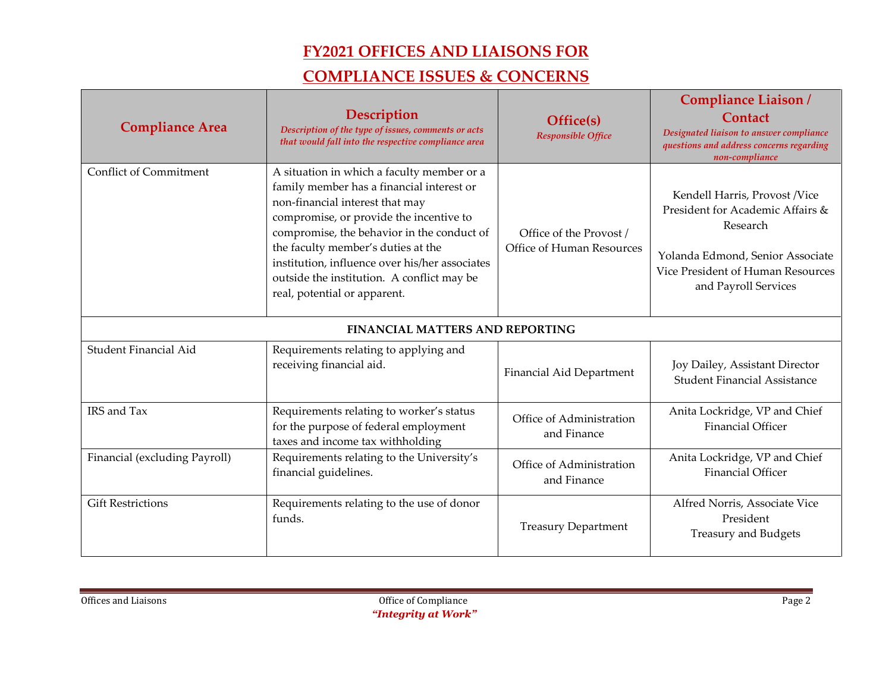| <b>Compliance Area</b>                 | Description<br>Description of the type of issues, comments or acts<br>that would fall into the respective compliance area                                                                                                                                                                                                                                                                 | Office(s)<br><b>Responsible Office</b>               | <b>Compliance Liaison/</b><br><b>Contact</b><br>Designated liaison to answer compliance<br>questions and address concerns regarding<br>non-compliance                          |
|----------------------------------------|-------------------------------------------------------------------------------------------------------------------------------------------------------------------------------------------------------------------------------------------------------------------------------------------------------------------------------------------------------------------------------------------|------------------------------------------------------|--------------------------------------------------------------------------------------------------------------------------------------------------------------------------------|
| <b>Conflict of Commitment</b>          | A situation in which a faculty member or a<br>family member has a financial interest or<br>non-financial interest that may<br>compromise, or provide the incentive to<br>compromise, the behavior in the conduct of<br>the faculty member's duties at the<br>institution, influence over his/her associates<br>outside the institution. A conflict may be<br>real, potential or apparent. | Office of the Provost /<br>Office of Human Resources | Kendell Harris, Provost /Vice<br>President for Academic Affairs &<br>Research<br>Yolanda Edmond, Senior Associate<br>Vice President of Human Resources<br>and Payroll Services |
| <b>FINANCIAL MATTERS AND REPORTING</b> |                                                                                                                                                                                                                                                                                                                                                                                           |                                                      |                                                                                                                                                                                |
| Student Financial Aid                  | Requirements relating to applying and<br>receiving financial aid.                                                                                                                                                                                                                                                                                                                         | Financial Aid Department                             | Joy Dailey, Assistant Director<br><b>Student Financial Assistance</b>                                                                                                          |
| IRS and Tax                            | Requirements relating to worker's status<br>for the purpose of federal employment<br>taxes and income tax withholding                                                                                                                                                                                                                                                                     | Office of Administration<br>and Finance              | Anita Lockridge, VP and Chief<br><b>Financial Officer</b>                                                                                                                      |
| Financial (excluding Payroll)          | Requirements relating to the University's<br>financial guidelines.                                                                                                                                                                                                                                                                                                                        | Office of Administration<br>and Finance              | Anita Lockridge, VP and Chief<br><b>Financial Officer</b>                                                                                                                      |
| <b>Gift Restrictions</b>               | Requirements relating to the use of donor<br>funds.                                                                                                                                                                                                                                                                                                                                       | <b>Treasury Department</b>                           | Alfred Norris, Associate Vice<br>President<br>Treasury and Budgets                                                                                                             |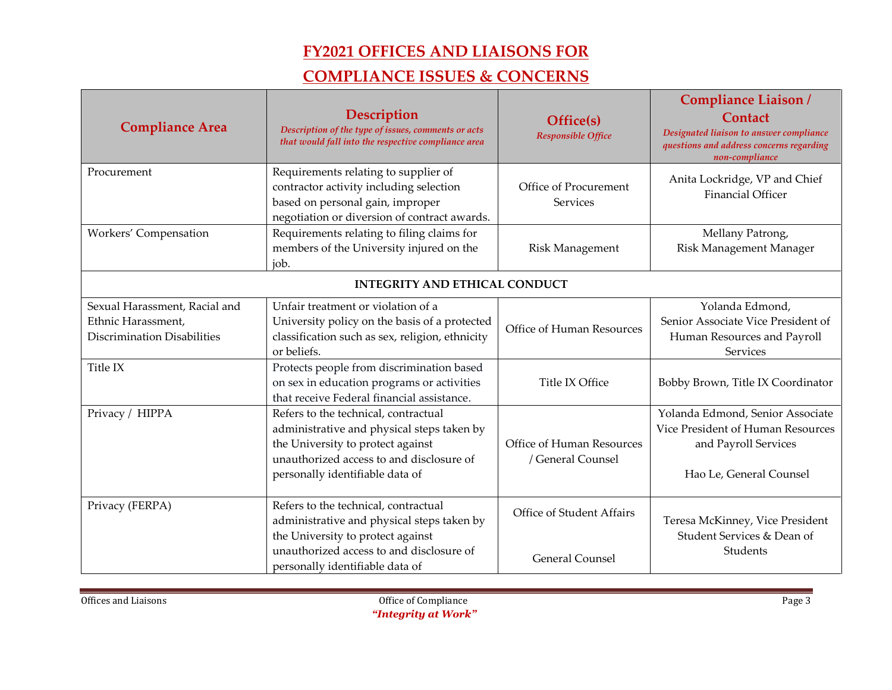| <b>Compliance Area</b>                                                             | Description<br>Description of the type of issues, comments or acts<br>that would fall into the respective compliance area                                                                              | Office(s)<br><b>Responsible Office</b>              | Compliance Liaison /<br><b>Contact</b><br>Designated liaison to answer compliance<br>questions and address concerns regarding<br>non-compliance |  |
|------------------------------------------------------------------------------------|--------------------------------------------------------------------------------------------------------------------------------------------------------------------------------------------------------|-----------------------------------------------------|-------------------------------------------------------------------------------------------------------------------------------------------------|--|
| Procurement                                                                        | Requirements relating to supplier of<br>contractor activity including selection<br>based on personal gain, improper<br>negotiation or diversion of contract awards.                                    | Office of Procurement<br><b>Services</b>            | Anita Lockridge, VP and Chief<br><b>Financial Officer</b>                                                                                       |  |
| Workers' Compensation                                                              | Requirements relating to filing claims for<br>members of the University injured on the<br>iob.                                                                                                         | <b>Risk Management</b>                              | Mellany Patrong,<br>Risk Management Manager                                                                                                     |  |
| <b>INTEGRITY AND ETHICAL CONDUCT</b>                                               |                                                                                                                                                                                                        |                                                     |                                                                                                                                                 |  |
| Sexual Harassment, Racial and<br>Ethnic Harassment,<br>Discrimination Disabilities | Unfair treatment or violation of a<br>University policy on the basis of a protected<br>classification such as sex, religion, ethnicity<br>or beliefs.                                                  | Office of Human Resources                           | Yolanda Edmond,<br>Senior Associate Vice President of<br>Human Resources and Payroll<br>Services                                                |  |
| Title IX                                                                           | Protects people from discrimination based<br>on sex in education programs or activities<br>that receive Federal financial assistance.                                                                  | Title IX Office                                     | Bobby Brown, Title IX Coordinator                                                                                                               |  |
| Privacy / HIPPA                                                                    | Refers to the technical, contractual<br>administrative and physical steps taken by<br>the University to protect against<br>unauthorized access to and disclosure of<br>personally identifiable data of | Office of Human Resources<br>/ General Counsel      | Yolanda Edmond, Senior Associate<br>Vice President of Human Resources<br>and Payroll Services<br>Hao Le, General Counsel                        |  |
| Privacy (FERPA)                                                                    | Refers to the technical, contractual<br>administrative and physical steps taken by<br>the University to protect against<br>unauthorized access to and disclosure of<br>personally identifiable data of | Office of Student Affairs<br><b>General Counsel</b> | Teresa McKinney, Vice President<br>Student Services & Dean of<br>Students                                                                       |  |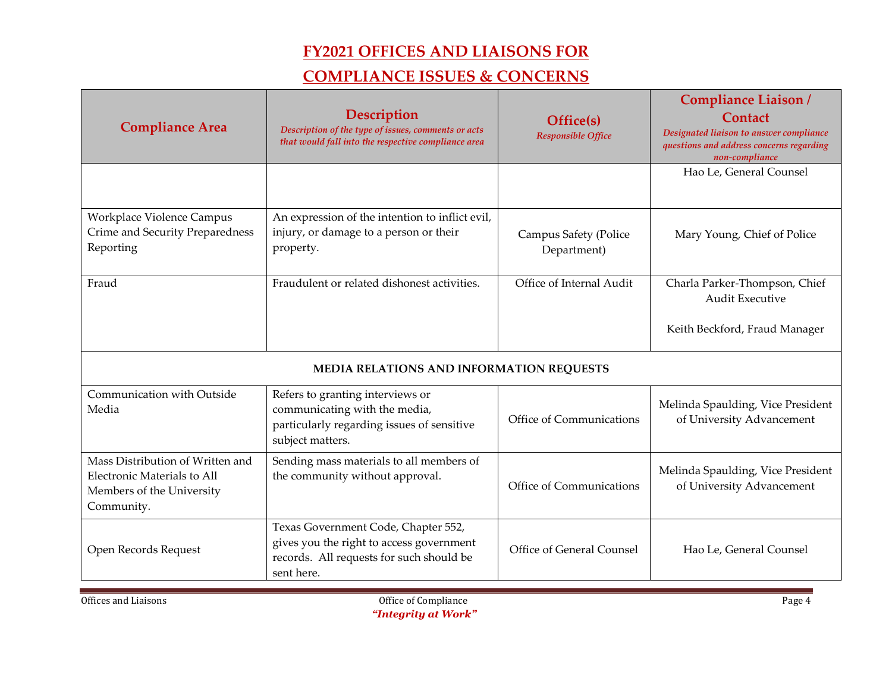| <b>Compliance Area</b>                                                                                     | Description<br>Description of the type of issues, comments or acts<br>that would fall into the respective compliance area                 | Office(s)<br>Responsible Office      | <b>Compliance Liaison/</b><br><b>Contact</b><br>Designated liaison to answer compliance<br>questions and address concerns regarding<br>non-compliance |
|------------------------------------------------------------------------------------------------------------|-------------------------------------------------------------------------------------------------------------------------------------------|--------------------------------------|-------------------------------------------------------------------------------------------------------------------------------------------------------|
|                                                                                                            |                                                                                                                                           |                                      | Hao Le, General Counsel                                                                                                                               |
| <b>Workplace Violence Campus</b><br>Crime and Security Preparedness<br>Reporting                           | An expression of the intention to inflict evil,<br>injury, or damage to a person or their<br>property.                                    | Campus Safety (Police<br>Department) | Mary Young, Chief of Police                                                                                                                           |
| Fraud                                                                                                      | Fraudulent or related dishonest activities.                                                                                               | Office of Internal Audit             | Charla Parker-Thompson, Chief<br><b>Audit Executive</b><br>Keith Beckford, Fraud Manager                                                              |
|                                                                                                            | MEDIA RELATIONS AND INFORMATION REQUESTS                                                                                                  |                                      |                                                                                                                                                       |
| Communication with Outside<br>Media                                                                        | Refers to granting interviews or<br>communicating with the media,<br>particularly regarding issues of sensitive<br>subject matters.       | Office of Communications             | Melinda Spaulding, Vice President<br>of University Advancement                                                                                        |
| Mass Distribution of Written and<br>Electronic Materials to All<br>Members of the University<br>Community. | Sending mass materials to all members of<br>the community without approval.                                                               | Office of Communications             | Melinda Spaulding, Vice President<br>of University Advancement                                                                                        |
| Open Records Request                                                                                       | Texas Government Code, Chapter 552,<br>gives you the right to access government<br>records. All requests for such should be<br>sent here. | Office of General Counsel            | Hao Le, General Counsel                                                                                                                               |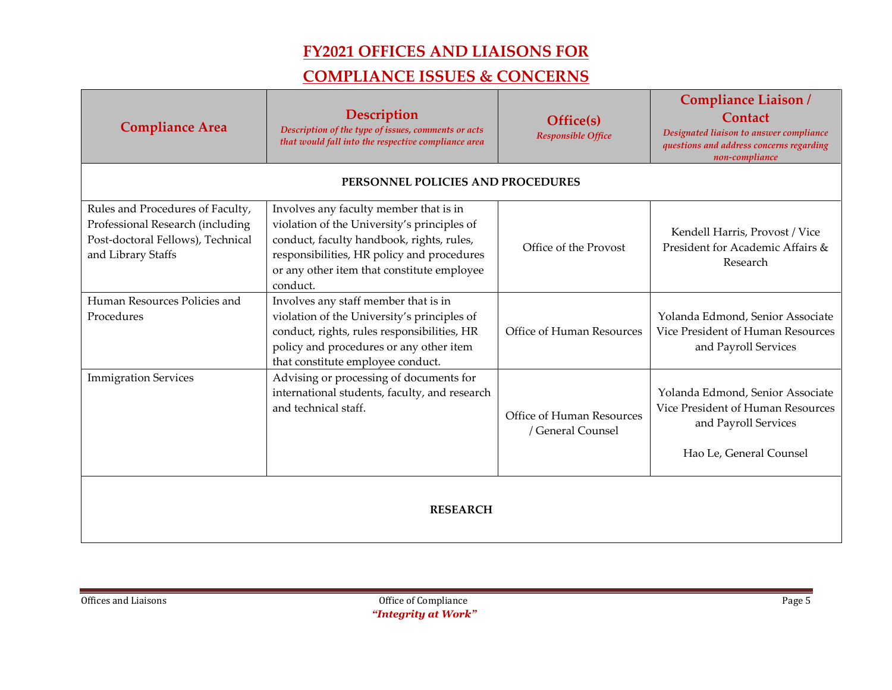|                                                                                                                                 |                                                                                                                                                                                                                                            |                                                | Compliance Liaison /                                                                                                     |
|---------------------------------------------------------------------------------------------------------------------------------|--------------------------------------------------------------------------------------------------------------------------------------------------------------------------------------------------------------------------------------------|------------------------------------------------|--------------------------------------------------------------------------------------------------------------------------|
| <b>Compliance Area</b>                                                                                                          | Description<br>Description of the type of issues, comments or acts<br>that would fall into the respective compliance area                                                                                                                  | Office(s)<br><b>Responsible Office</b>         | <b>Contact</b><br>Designated liaison to answer compliance<br>questions and address concerns regarding<br>non-compliance  |
|                                                                                                                                 | PERSONNEL POLICIES AND PROCEDURES                                                                                                                                                                                                          |                                                |                                                                                                                          |
| Rules and Procedures of Faculty,<br>Professional Research (including<br>Post-doctoral Fellows), Technical<br>and Library Staffs | Involves any faculty member that is in<br>violation of the University's principles of<br>conduct, faculty handbook, rights, rules,<br>responsibilities, HR policy and procedures<br>or any other item that constitute employee<br>conduct. | Office of the Provost                          | Kendell Harris, Provost / Vice<br>President for Academic Affairs &<br>Research                                           |
| Human Resources Policies and<br>Procedures                                                                                      | Involves any staff member that is in<br>violation of the University's principles of<br>conduct, rights, rules responsibilities, HR<br>policy and procedures or any other item<br>that constitute employee conduct.                         | Office of Human Resources                      | Yolanda Edmond, Senior Associate<br>Vice President of Human Resources<br>and Payroll Services                            |
| <b>Immigration Services</b>                                                                                                     | Advising or processing of documents for<br>international students, faculty, and research<br>and technical staff.                                                                                                                           | Office of Human Resources<br>/ General Counsel | Yolanda Edmond, Senior Associate<br>Vice President of Human Resources<br>and Payroll Services<br>Hao Le, General Counsel |
| <b>RESEARCH</b>                                                                                                                 |                                                                                                                                                                                                                                            |                                                |                                                                                                                          |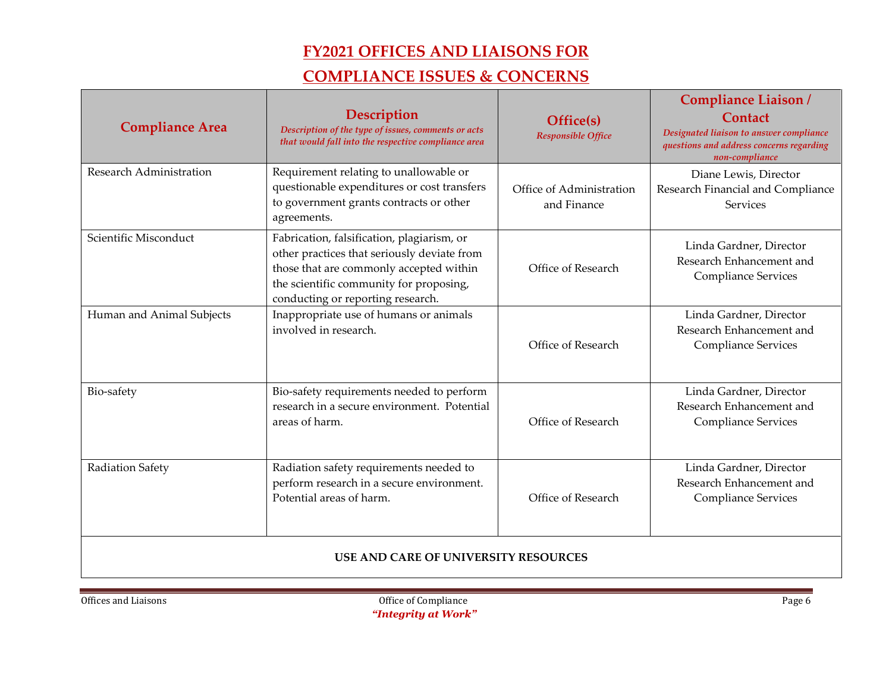| <b>Compliance Area</b>                      | <b>Description</b><br>Description of the type of issues, comments or acts<br>that would fall into the respective compliance area                                                                                     | Office(s)<br><b>Responsible Office</b>  | <b>Compliance Liaison/</b><br><b>Contact</b><br>Designated liaison to answer compliance<br>questions and address concerns regarding<br>non-compliance |
|---------------------------------------------|----------------------------------------------------------------------------------------------------------------------------------------------------------------------------------------------------------------------|-----------------------------------------|-------------------------------------------------------------------------------------------------------------------------------------------------------|
| <b>Research Administration</b>              | Requirement relating to unallowable or<br>questionable expenditures or cost transfers<br>to government grants contracts or other<br>agreements.                                                                      | Office of Administration<br>and Finance | Diane Lewis, Director<br>Research Financial and Compliance<br><b>Services</b>                                                                         |
| Scientific Misconduct                       | Fabrication, falsification, plagiarism, or<br>other practices that seriously deviate from<br>those that are commonly accepted within<br>the scientific community for proposing,<br>conducting or reporting research. | Office of Research                      | Linda Gardner, Director<br>Research Enhancement and<br>Compliance Services                                                                            |
| Human and Animal Subjects                   | Inappropriate use of humans or animals<br>involved in research.                                                                                                                                                      | Office of Research                      | Linda Gardner, Director<br>Research Enhancement and<br>Compliance Services                                                                            |
| Bio-safety                                  | Bio-safety requirements needed to perform<br>research in a secure environment. Potential<br>areas of harm.                                                                                                           | Office of Research                      | Linda Gardner, Director<br>Research Enhancement and<br>Compliance Services                                                                            |
| Radiation Safety                            | Radiation safety requirements needed to<br>perform research in a secure environment.<br>Potential areas of harm.                                                                                                     | Office of Research                      | Linda Gardner, Director<br>Research Enhancement and<br><b>Compliance Services</b>                                                                     |
| <b>USE AND CARE OF UNIVERSITY RESOURCES</b> |                                                                                                                                                                                                                      |                                         |                                                                                                                                                       |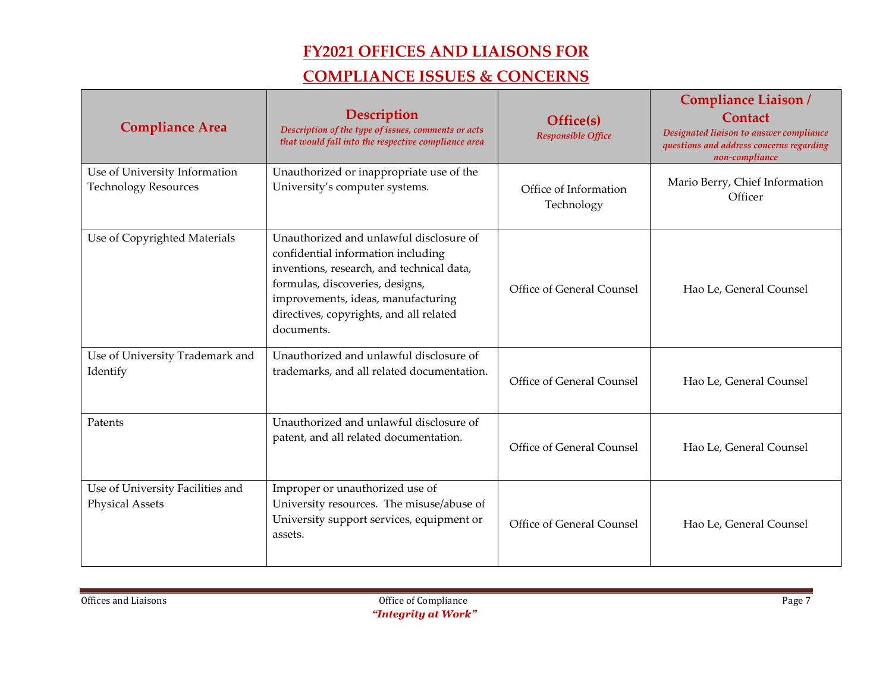| <b>Compliance Area</b>                                       | <b>Description</b><br>Description of the type of issues, comments or acts<br>that would fall into the respective compliance area                                                                                                                             | Office(s)<br><b>Responsible Office</b> | <b>Compliance Liaison/</b><br><b>Contact</b><br>Designated liaison to answer compliance<br>questions and address concerns regarding<br>non-compliance |
|--------------------------------------------------------------|--------------------------------------------------------------------------------------------------------------------------------------------------------------------------------------------------------------------------------------------------------------|----------------------------------------|-------------------------------------------------------------------------------------------------------------------------------------------------------|
| Use of University Information<br><b>Technology Resources</b> | Unauthorized or inappropriate use of the<br>University's computer systems.                                                                                                                                                                                   | Office of Information<br>Technology    | Mario Berry, Chief Information<br>Officer                                                                                                             |
| Use of Copyrighted Materials                                 | Unauthorized and unlawful disclosure of<br>confidential information including<br>inventions, research, and technical data,<br>formulas, discoveries, designs,<br>improvements, ideas, manufacturing<br>directives, copyrights, and all related<br>documents. | Office of General Counsel              | Hao Le, General Counsel                                                                                                                               |
| Use of University Trademark and<br>Identify                  | Unauthorized and unlawful disclosure of<br>trademarks, and all related documentation.                                                                                                                                                                        | Office of General Counsel              | Hao Le, General Counsel                                                                                                                               |
| Patents                                                      | Unauthorized and unlawful disclosure of<br>patent, and all related documentation.                                                                                                                                                                            | Office of General Counsel              | Hao Le, General Counsel                                                                                                                               |
| Use of University Facilities and<br><b>Physical Assets</b>   | Improper or unauthorized use of<br>University resources. The misuse/abuse of<br>University support services, equipment or<br>assets.                                                                                                                         | Office of General Counsel              | Hao Le, General Counsel                                                                                                                               |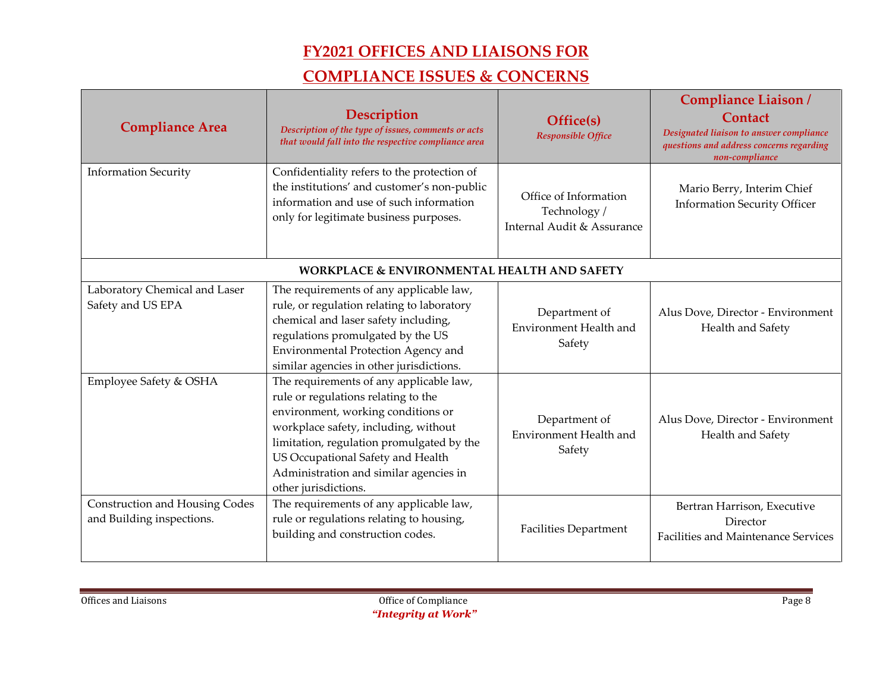| <b>Compliance Area</b>                                      | <b>Description</b><br>Description of the type of issues, comments or acts<br>that would fall into the respective compliance area                                                                                                                                                                                 | Office(s)<br><b>Responsible Office</b>                              | <b>Compliance Liaison/</b><br><b>Contact</b><br>Designated liaison to answer compliance<br>questions and address concerns regarding<br>non-compliance |
|-------------------------------------------------------------|------------------------------------------------------------------------------------------------------------------------------------------------------------------------------------------------------------------------------------------------------------------------------------------------------------------|---------------------------------------------------------------------|-------------------------------------------------------------------------------------------------------------------------------------------------------|
| <b>Information Security</b>                                 | Confidentiality refers to the protection of<br>the institutions' and customer's non-public<br>information and use of such information<br>only for legitimate business purposes.                                                                                                                                  | Office of Information<br>Technology /<br>Internal Audit & Assurance | Mario Berry, Interim Chief<br><b>Information Security Officer</b>                                                                                     |
|                                                             | <b>WORKPLACE &amp; ENVIRONMENTAL HEALTH AND SAFETY</b>                                                                                                                                                                                                                                                           |                                                                     |                                                                                                                                                       |
| Laboratory Chemical and Laser<br>Safety and US EPA          | The requirements of any applicable law,<br>rule, or regulation relating to laboratory<br>chemical and laser safety including,<br>regulations promulgated by the US<br>Environmental Protection Agency and<br>similar agencies in other jurisdictions.                                                            | Department of<br>Environment Health and<br>Safety                   | Alus Dove, Director - Environment<br>Health and Safety                                                                                                |
| Employee Safety & OSHA                                      | The requirements of any applicable law,<br>rule or regulations relating to the<br>environment, working conditions or<br>workplace safety, including, without<br>limitation, regulation promulgated by the<br>US Occupational Safety and Health<br>Administration and similar agencies in<br>other jurisdictions. | Department of<br>Environment Health and<br>Safety                   | Alus Dove, Director - Environment<br>Health and Safety                                                                                                |
| Construction and Housing Codes<br>and Building inspections. | The requirements of any applicable law,<br>rule or regulations relating to housing,<br>building and construction codes.                                                                                                                                                                                          | <b>Facilities Department</b>                                        | Bertran Harrison, Executive<br>Director<br><b>Facilities and Maintenance Services</b>                                                                 |